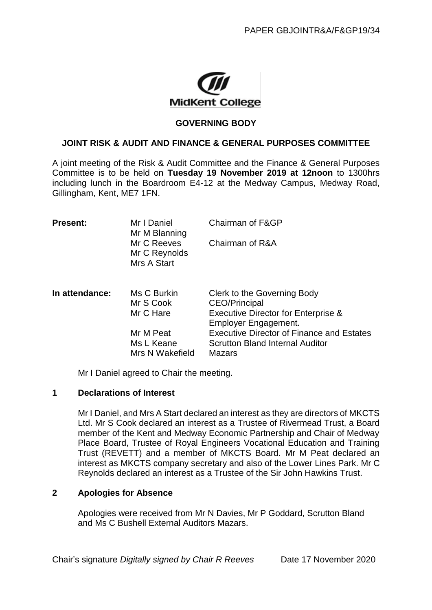

## **GOVERNING BODY**

## **JOINT RISK & AUDIT AND FINANCE & GENERAL PURPOSES COMMITTEE**

A joint meeting of the Risk & Audit Committee and the Finance & General Purposes Committee is to be held on **Tuesday 19 November 2019 at 12noon** to 1300hrs including lunch in the Boardroom E4-12 at the Medway Campus, Medway Road, Gillingham, Kent, ME7 1FN.

| <b>Present:</b> | Mr I Daniel<br>Mr M Blanning                | Chairman of F&GP                                                                                                       |
|-----------------|---------------------------------------------|------------------------------------------------------------------------------------------------------------------------|
|                 | Mr C Reeves<br>Mr C Reynolds<br>Mrs A Start | Chairman of R&A                                                                                                        |
| In attendance:  | Ms C Burkin<br>Mr S Cook<br>Mr C Hare       | Clerk to the Governing Body<br>CEO/Principal<br><b>Executive Director for Enterprise &amp;</b><br>Employer Engagement. |
|                 | Mr M Peat<br>Ms L Keane<br>Mrs N Wakefield  | <b>Executive Director of Finance and Estates</b><br><b>Scrutton Bland Internal Auditor</b><br>Mazars                   |

Mr I Daniel agreed to Chair the meeting.

## **1 Declarations of Interest**

Mr I Daniel, and Mrs A Start declared an interest as they are directors of MKCTS Ltd. Mr S Cook declared an interest as a Trustee of Rivermead Trust, a Board member of the Kent and Medway Economic Partnership and Chair of Medway Place Board, Trustee of Royal Engineers Vocational Education and Training Trust (REVETT) and a member of MKCTS Board. Mr M Peat declared an interest as MKCTS company secretary and also of the Lower Lines Park. Mr C Reynolds declared an interest as a Trustee of the Sir John Hawkins Trust.

# **2 Apologies for Absence**

Apologies were received from Mr N Davies, Mr P Goddard, Scrutton Bland and Ms C Bushell External Auditors Mazars.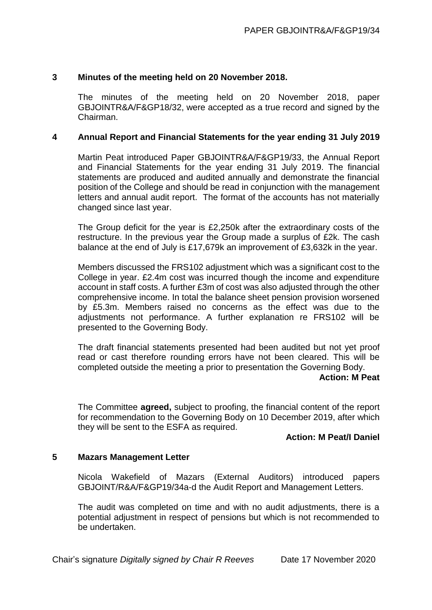# **3 Minutes of the meeting held on 20 November 2018.**

The minutes of the meeting held on 20 November 2018, paper GBJOINTR&A/F&GP18/32, were accepted as a true record and signed by the Chairman.

## **4 Annual Report and Financial Statements for the year ending 31 July 2019**

Martin Peat introduced Paper GBJOINTR&A/F&GP19/33, the Annual Report and Financial Statements for the year ending 31 July 2019. The financial statements are produced and audited annually and demonstrate the financial position of the College and should be read in conjunction with the management letters and annual audit report. The format of the accounts has not materially changed since last year.

The Group deficit for the year is £2,250k after the extraordinary costs of the restructure. In the previous year the Group made a surplus of £2k. The cash balance at the end of July is £17,679k an improvement of £3,632k in the year.

Members discussed the FRS102 adjustment which was a significant cost to the College in year. £2.4m cost was incurred though the income and expenditure account in staff costs. A further £3m of cost was also adjusted through the other comprehensive income. In total the balance sheet pension provision worsened by £5.3m. Members raised no concerns as the effect was due to the adjustments not performance. A further explanation re FRS102 will be presented to the Governing Body.

The draft financial statements presented had been audited but not yet proof read or cast therefore rounding errors have not been cleared. This will be completed outside the meeting a prior to presentation the Governing Body.

#### **Action: M Peat**

The Committee **agreed,** subject to proofing, the financial content of the report for recommendation to the Governing Body on 10 December 2019, after which they will be sent to the ESFA as required.

#### **Action: M Peat/I Daniel**

# **5 Mazars Management Letter**

Nicola Wakefield of Mazars (External Auditors) introduced papers GBJOINT/R&A/F&GP19/34a-d the Audit Report and Management Letters.

The audit was completed on time and with no audit adjustments, there is a potential adjustment in respect of pensions but which is not recommended to be undertaken.